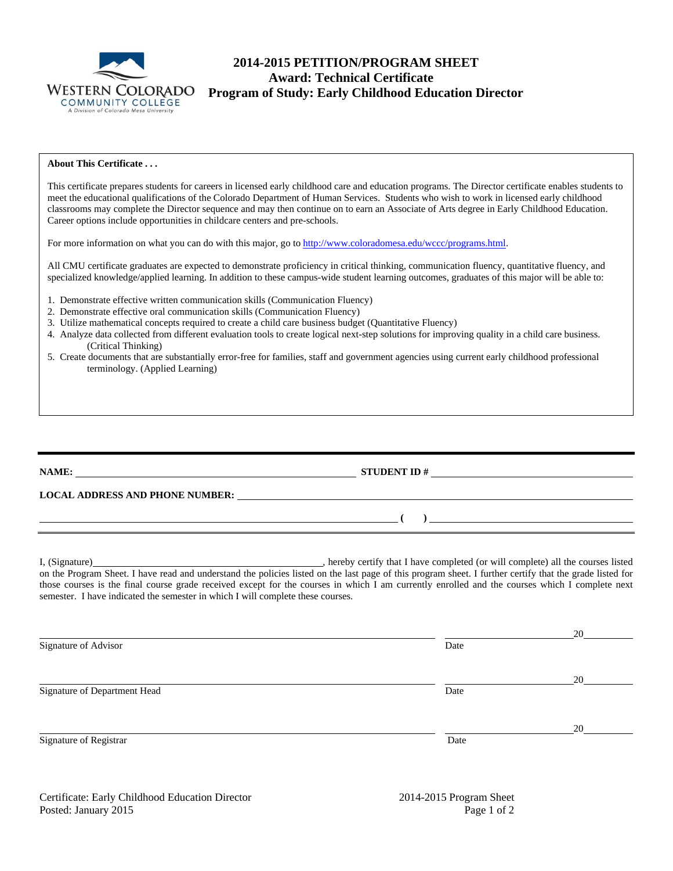

# **2014-2015 PETITION/PROGRAM SHEET Award: Technical Certificate**  WESTERN COLORADO<br>
COMMUNITY COLLEGE<br>
A Division of Colorado Mesa University

#### **About This Certificate . . .**

This certificate prepares students for careers in licensed early childhood care and education programs. The Director certificate enables students to meet the educational qualifications of the Colorado Department of Human Services. Students who wish to work in licensed early childhood classrooms may complete the Director sequence and may then continue on to earn an Associate of Arts degree in Early Childhood Education. Career options include opportunities in childcare centers and pre-schools.

For more information on what you can do with this major, go to http://www.coloradomesa.edu/wccc/programs.html.

All CMU certificate graduates are expected to demonstrate proficiency in critical thinking, communication fluency, quantitative fluency, and specialized knowledge/applied learning. In addition to these campus-wide student learning outcomes, graduates of this major will be able to:

- 1. Demonstrate effective written communication skills (Communication Fluency)
- 2. Demonstrate effective oral communication skills (Communication Fluency)
- 3. Utilize mathematical concepts required to create a child care business budget (Quantitative Fluency)
- 4. Analyze data collected from different evaluation tools to create logical next-step solutions for improving quality in a child care business. (Critical Thinking)
- 5. Create documents that are substantially error-free for families, staff and government agencies using current early childhood professional terminology. (Applied Learning)

**NAME: STUDENT ID #** 

**LOCAL ADDRESS AND PHONE NUMBER:**

I, (Signature) **Source 2008** (Signature) **, hereby certify that I have completed** (or will complete) all the courses listed on the Program Sheet. I have read and understand the policies listed on the last page of this program sheet. I further certify that the grade listed for those courses is the final course grade received except for the courses in which I am currently enrolled and the courses which I complete next semester. I have indicated the semester in which I will complete these courses.

|                              |      | 20 |
|------------------------------|------|----|
| Signature of Advisor         | Date |    |
|                              |      | 20 |
| Signature of Department Head | Date |    |
|                              |      | 20 |
| Signature of Registrar       | Date |    |

 **(** ) <u> **(** ) **b** ( ) **i** ( ) **i** ( ) **i** ( ) **i** ( ) **i** ( ) **i** ( ) **i** ( ) **i** ( ) **i** ( ) **i** ( ) **i** ( ) **i** ( ) **i** ( ) **i** ( ) **i** ( ) **i** ( ) **i** ( ) **i** ( ) **i** ( ) **i** ( ) **i** ( ) **i** ( ) **i** ( ) **i** ( ) **i** ( )</u>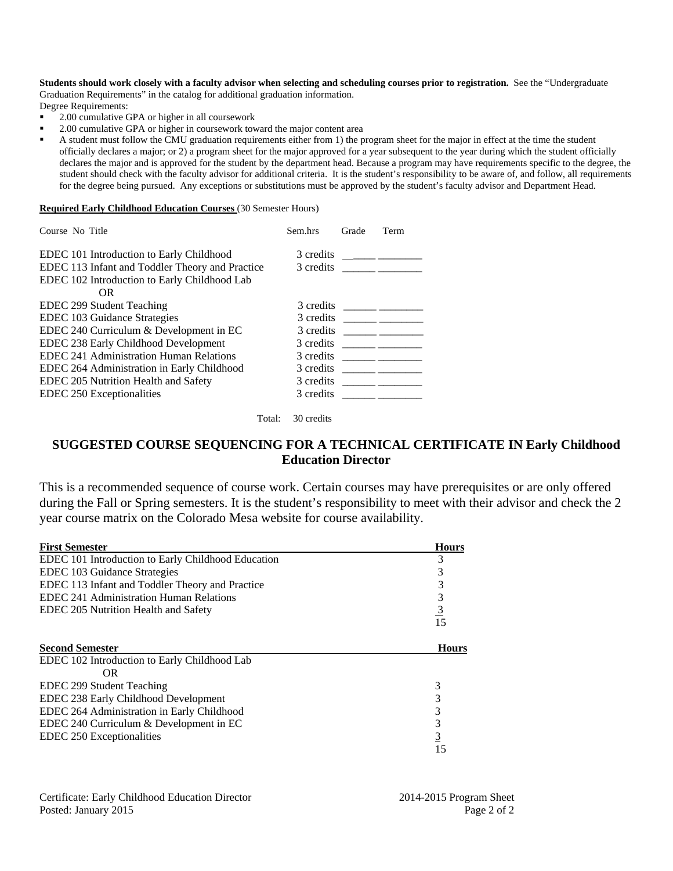**Students should work closely with a faculty advisor when selecting and scheduling courses prior to registration.** See the "Undergraduate Graduation Requirements" in the catalog for additional graduation information.

Degree Requirements:

- 2.00 cumulative GPA or higher in all coursework
- 2.00 cumulative GPA or higher in coursework toward the major content area

 A student must follow the CMU graduation requirements either from 1) the program sheet for the major in effect at the time the student officially declares a major; or 2) a program sheet for the major approved for a year subsequent to the year during which the student officially declares the major and is approved for the student by the department head. Because a program may have requirements specific to the degree, the student should check with the faculty advisor for additional criteria. It is the student's responsibility to be aware of, and follow, all requirements for the degree being pursued. Any exceptions or substitutions must be approved by the student's faculty advisor and Department Head.

#### **Required Early Childhood Education Courses** (30 Semester Hours)

| Course No Title |                                                                                                                                             | Sem.hrs                | Grade | Term |
|-----------------|---------------------------------------------------------------------------------------------------------------------------------------------|------------------------|-------|------|
|                 | EDEC 101 Introduction to Early Childhood<br>EDEC 113 Infant and Toddler Theory and Practice<br>EDEC 102 Introduction to Early Childhood Lab | 3 credits<br>3 credits |       |      |
|                 | OR.                                                                                                                                         |                        |       |      |
|                 | EDEC 299 Student Teaching                                                                                                                   | 3 credits              |       |      |
|                 | EDEC 103 Guidance Strategies                                                                                                                | 3 credits              |       |      |
|                 | EDEC 240 Curriculum & Development in EC                                                                                                     | 3 credits              |       |      |
|                 | EDEC 238 Early Childhood Development                                                                                                        | 3 credits              |       |      |
|                 | EDEC 241 Administration Human Relations                                                                                                     | 3 credits              |       |      |
|                 | EDEC 264 Administration in Early Childhood                                                                                                  | 3 credits              |       |      |
|                 | EDEC 205 Nutrition Health and Safety                                                                                                        | 3 credits              |       |      |
|                 | EDEC 250 Exceptionalities                                                                                                                   | 3 credits              |       |      |

Total: 30 credits

## **SUGGESTED COURSE SEQUENCING FOR A TECHNICAL CERTIFICATE IN Early Childhood Education Director**

This is a recommended sequence of course work. Certain courses may have prerequisites or are only offered during the Fall or Spring semesters. It is the student's responsibility to meet with their advisor and check the 2 year course matrix on the Colorado Mesa website for course availability.

| <b>First Semester</b>                              | <b>Hours</b>   |
|----------------------------------------------------|----------------|
| EDEC 101 Introduction to Early Childhood Education | 3              |
| EDEC 103 Guidance Strategies                       | 3              |
| EDEC 113 Infant and Toddler Theory and Practice    | 3              |
| EDEC 241 Administration Human Relations            | 3              |
| EDEC 205 Nutrition Health and Safety               | $\frac{3}{15}$ |
|                                                    |                |
| <b>Second Semester</b>                             | <b>Hours</b>   |
| EDEC 102 Introduction to Early Childhood Lab       |                |
| <b>OR</b>                                          |                |
| EDEC 299 Student Teaching                          | 3              |
| EDEC 238 Early Childhood Development               | 3              |
| EDEC 264 Administration in Early Childhood         | 3              |
| EDEC 240 Curriculum & Development in EC            | 3              |
| EDEC 250 Exceptionalities                          | <u>3</u>       |
|                                                    | 15             |